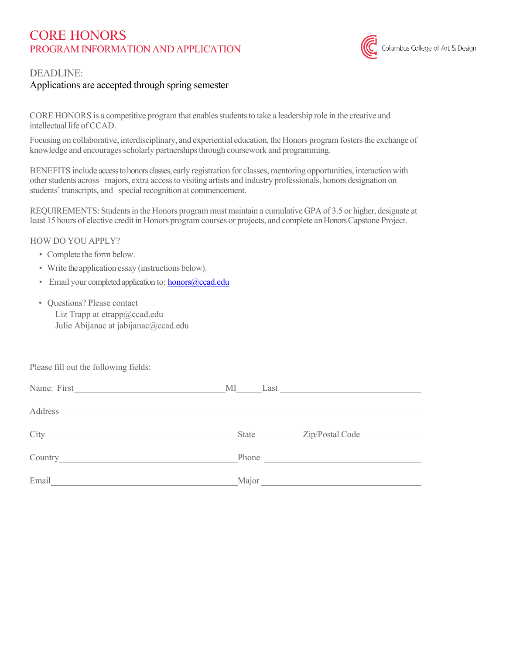# CORE HONORS PROGRAM INFORMATION AND APPLICATION



### DEADLINE:

## Applications are accepted through spring semester

CORE HONORS is a competitive program that enables students to take a leadership role in the creative and intellectual life ofCCAD.

Focusing on collaborative, interdisciplinary, and experiential education, the Honors program fosters the exchange of knowledge and encourages scholarly partnerships through coursework and programming.

BENEFITS include access to honors classes, early registration for classes, mentoring opportunities, interaction with other students across majors, extra access to visiting artists and industry professionals, honors designation on students' transcripts, and special recognition at commencement.

REQUIREMENTS: Studentsin the Honors program must maintain a cumulative GPA of 3.5 or higher, designate at least 15 hours of elective credit in Honors program courses or projects, and complete an Honors Capstone Project.

#### HOW DO YOU APPLY?

- Complete the form below.
- Write the application essay (instructions below).
- Email your completed application to: honors@ccad.edu
- Questions? Please contact

Liz Trapp at etrapp@ccad.edu Julie Abijanac at jabijanac@ccad.edu

Please fill out the following fields:

|       | State | Zip/Postal Code |
|-------|-------|-----------------|
|       |       |                 |
| Email | Major |                 |